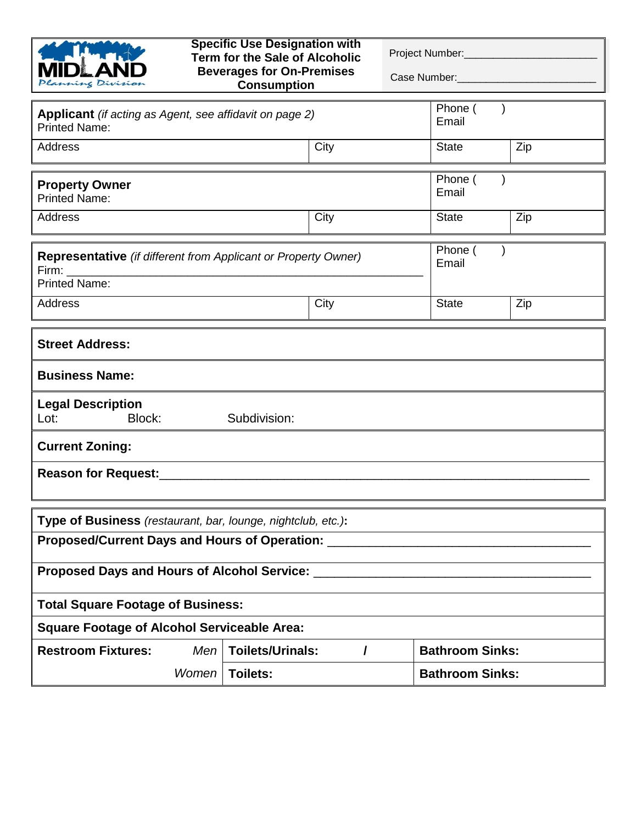| anning Division                                                                                                            | <b>Specific Use Designation with</b><br><b>Term for the Sale of Alcoholic</b><br><b>Beverages for On-Premises</b><br><b>Consumption</b> | Project Number:<br>Case Number: |  |  |
|----------------------------------------------------------------------------------------------------------------------------|-----------------------------------------------------------------------------------------------------------------------------------------|---------------------------------|--|--|
| Applicant (if acting as Agent, see affidavit on page 2)<br><b>Printed Name:</b>                                            |                                                                                                                                         | Phone (<br>Email                |  |  |
| <b>Address</b>                                                                                                             | City                                                                                                                                    | Zip<br><b>State</b>             |  |  |
| <b>Property Owner</b><br><b>Printed Name:</b>                                                                              |                                                                                                                                         | Phone (<br>Email                |  |  |
| <b>Address</b>                                                                                                             | City                                                                                                                                    | <b>State</b><br>Zip             |  |  |
| Phone (<br><b>Representative</b> (if different from Applicant or Property Owner)<br>Email<br>Firm:<br><b>Printed Name:</b> |                                                                                                                                         |                                 |  |  |
| <b>Address</b>                                                                                                             | City                                                                                                                                    | <b>State</b><br>Zip             |  |  |
| <b>Street Address:</b>                                                                                                     |                                                                                                                                         |                                 |  |  |
| <b>Business Name:</b>                                                                                                      |                                                                                                                                         |                                 |  |  |
| <b>Legal Description</b><br>Block:<br>Lot:<br>Subdivision:                                                                 |                                                                                                                                         |                                 |  |  |
| <b>Current Zoning:</b>                                                                                                     |                                                                                                                                         |                                 |  |  |
| Reason for Request: Manual Assembly Reason for Request:                                                                    |                                                                                                                                         |                                 |  |  |
| Type of Business (restaurant, bar, lounge, nightclub, etc.):                                                               |                                                                                                                                         |                                 |  |  |
| Proposed/Current Days and Hours of Operation: ____                                                                         |                                                                                                                                         |                                 |  |  |
| Proposed Days and Hours of Alcohol Service: _                                                                              |                                                                                                                                         |                                 |  |  |
| <b>Total Square Footage of Business:</b>                                                                                   |                                                                                                                                         |                                 |  |  |
| <b>Square Footage of Alcohol Serviceable Area:</b>                                                                         |                                                                                                                                         |                                 |  |  |
| <b>Restroom Fixtures:</b><br>Men                                                                                           | <b>Toilets/Urinals:</b>                                                                                                                 | <b>Bathroom Sinks:</b>          |  |  |
| Women                                                                                                                      | Toilets:                                                                                                                                | <b>Bathroom Sinks:</b>          |  |  |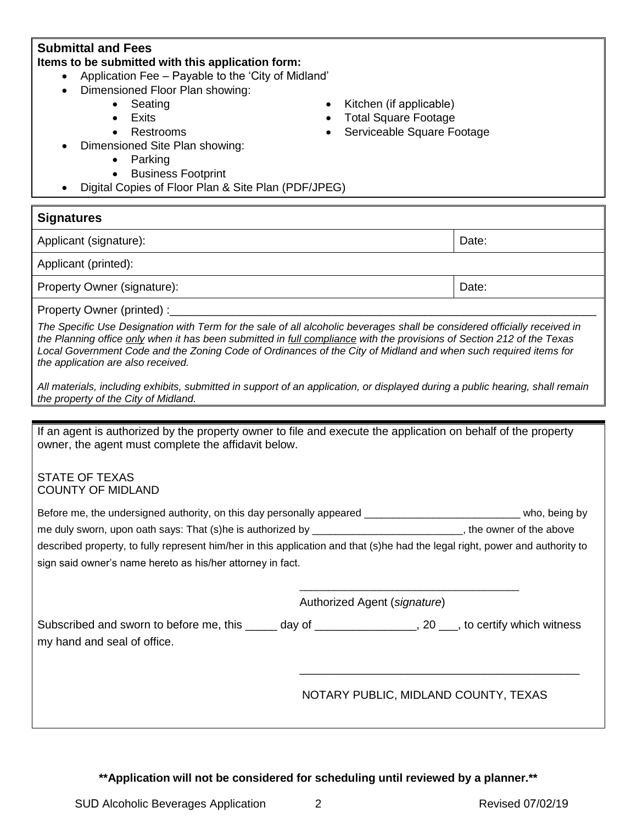| Dimensioned Floor Plan showing:<br>Seating<br>Kitchen (if applicable)<br><b>Total Square Footage</b><br><b>Exits</b><br>Serviceable Square Footage<br>Restrooms<br>Dimensioned Site Plan showing:<br>Parking<br><b>Business Footprint</b><br>Digital Copies of Floor Plan & Site Plan (PDF/JPEG)                                                                                                                                                                                                                                                                                                                            |       |  |  |  |
|-----------------------------------------------------------------------------------------------------------------------------------------------------------------------------------------------------------------------------------------------------------------------------------------------------------------------------------------------------------------------------------------------------------------------------------------------------------------------------------------------------------------------------------------------------------------------------------------------------------------------------|-------|--|--|--|
| <b>Signatures</b>                                                                                                                                                                                                                                                                                                                                                                                                                                                                                                                                                                                                           |       |  |  |  |
| Applicant (signature):                                                                                                                                                                                                                                                                                                                                                                                                                                                                                                                                                                                                      | Date: |  |  |  |
| Applicant (printed):                                                                                                                                                                                                                                                                                                                                                                                                                                                                                                                                                                                                        |       |  |  |  |
| Property Owner (signature):                                                                                                                                                                                                                                                                                                                                                                                                                                                                                                                                                                                                 | Date: |  |  |  |
| Property Owner (printed) :_<br>The Specific Use Designation with Term for the sale of all alcoholic beverages shall be considered officially received in<br>the Planning office only when it has been submitted in <b>full compliance</b> with the provisions of Section 212 of the Texas<br>Local Government Code and the Zoning Code of Ordinances of the City of Midland and when such required items for<br>the application are also received.<br>All materials, including exhibits, submitted in support of an application, or displayed during a public hearing, shall remain<br>the property of the City of Midland. |       |  |  |  |
|                                                                                                                                                                                                                                                                                                                                                                                                                                                                                                                                                                                                                             |       |  |  |  |
| If an agent is authorized by the property owner to file and execute the application on behalf of the property<br>owner, the agent must complete the affidavit below.<br><b>STATE OF TEXAS</b><br><b>COUNTY OF MIDLAND</b>                                                                                                                                                                                                                                                                                                                                                                                                   |       |  |  |  |
| Before me, the undersigned authority, on this day personally appeared ________________________________ who, being by<br>me duly sworn, upon oath says: That (s)he is authorized by __________________________, the owner of the above<br>described property, to fully represent him/her in this application and that (s)he had the legal right, power and authority to<br>sign said owner's name hereto as his/her attorney in fact.                                                                                                                                                                                        |       |  |  |  |
| Authorized Agent (signature)<br>Subscribed and sworn to before me, this ______ day of _________________, 20 ___, to certify which witness<br>my hand and seal of office.                                                                                                                                                                                                                                                                                                                                                                                                                                                    |       |  |  |  |
|                                                                                                                                                                                                                                                                                                                                                                                                                                                                                                                                                                                                                             |       |  |  |  |

NOTARY PUBLIC, MIDLAND COUNTY, TEXAS

**\*\*Application will not be considered for scheduling until reviewed by a planner.\*\***

**Submittal and Fees**

**Items to be submitted with this application form:**

Application Fee – Payable to the 'City of Midland'